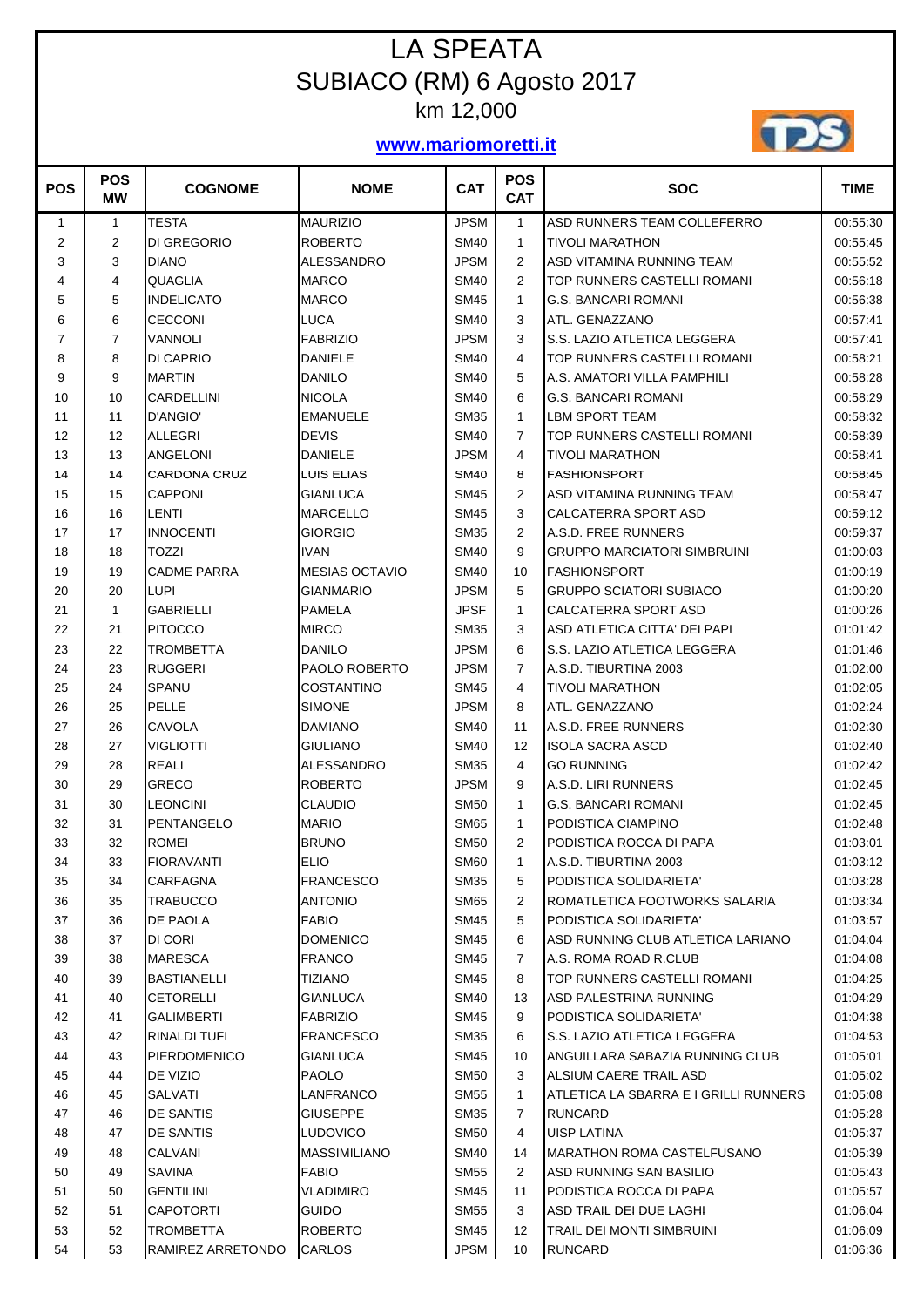## LA SPEATA SUBIACO (RM) 6 Agosto 2017 km 12,000

## **www.mariomoretti.it**



| <b>POS</b>     | <b>POS</b><br><b>MW</b> | <b>COGNOME</b>      | <b>NOME</b>           | <b>CAT</b>  | <b>POS</b><br><b>CAT</b> | <b>SOC</b>                            | <b>TIME</b> |
|----------------|-------------------------|---------------------|-----------------------|-------------|--------------------------|---------------------------------------|-------------|
| 1              | $\mathbf{1}$            | <b>TESTA</b>        | <b>MAURIZIO</b>       | <b>JPSM</b> | 1                        | ASD RUNNERS TEAM COLLEFERRO           | 00:55:30    |
| $\overline{2}$ | 2                       | <b>DI GREGORIO</b>  | <b>ROBERTO</b>        | <b>SM40</b> | 1                        | <b>TIVOLI MARATHON</b>                | 00:55:45    |
| 3              | 3                       | <b>DIANO</b>        | <b>ALESSANDRO</b>     | <b>JPSM</b> | 2                        | ASD VITAMINA RUNNING TEAM             | 00:55:52    |
| 4              | 4                       | <b>QUAGLIA</b>      | <b>MARCO</b>          | <b>SM40</b> | 2                        | TOP RUNNERS CASTELLI ROMANI           | 00:56:18    |
| 5              | 5                       | <b>INDELICATO</b>   | <b>MARCO</b>          | <b>SM45</b> | $\mathbf{1}$             | <b>G.S. BANCARI ROMANI</b>            | 00:56:38    |
| 6              | 6                       | CECCONI             | <b>LUCA</b>           | <b>SM40</b> | 3                        | ATL. GENAZZANO                        | 00:57:41    |
| $\overline{7}$ | 7                       | VANNOLI             | <b>FABRIZIO</b>       | <b>JPSM</b> | 3                        | S.S. LAZIO ATLETICA LEGGERA           | 00:57:41    |
| 8              | 8                       | DI CAPRIO           | <b>DANIELE</b>        | <b>SM40</b> | 4                        | TOP RUNNERS CASTELLI ROMANI           | 00:58:21    |
| 9              | 9                       | <b>MARTIN</b>       | <b>DANILO</b>         | <b>SM40</b> | 5                        | A.S. AMATORI VILLA PAMPHILI           | 00:58:28    |
| 10             | 10                      | <b>CARDELLINI</b>   | <b>NICOLA</b>         | <b>SM40</b> | 6                        | <b>G.S. BANCARI ROMANI</b>            | 00:58:29    |
| 11             | 11                      | D'ANGIO'            | <b>EMANUELE</b>       | <b>SM35</b> | $\mathbf{1}$             | <b>LBM SPORT TEAM</b>                 | 00:58:32    |
| 12             | 12                      | ALLEGRI             | <b>DEVIS</b>          | <b>SM40</b> | $\overline{7}$           | TOP RUNNERS CASTELLI ROMANI           | 00:58:39    |
| 13             | 13                      | ANGELONI            | <b>DANIELE</b>        | <b>JPSM</b> | 4                        | <b>TIVOLI MARATHON</b>                | 00:58:41    |
| 14             | 14                      | <b>CARDONA CRUZ</b> | LUIS ELIAS            | <b>SM40</b> | 8                        | <b>FASHIONSPORT</b>                   | 00:58:45    |
| 15             | 15                      | <b>CAPPONI</b>      | <b>GIANLUCA</b>       | <b>SM45</b> | 2                        | ASD VITAMINA RUNNING TEAM             | 00:58:47    |
| 16             | 16                      | <b>LENTI</b>        | <b>MARCELLO</b>       | <b>SM45</b> | 3                        | CALCATERRA SPORT ASD                  | 00:59:12    |
| 17             | 17                      | <b>INNOCENTI</b>    | <b>GIORGIO</b>        | <b>SM35</b> | 2                        | A.S.D. FREE RUNNERS                   | 00:59:37    |
| 18             | 18                      | <b>TOZZI</b>        | <b>IVAN</b>           | <b>SM40</b> | 9                        | <b>GRUPPO MARCIATORI SIMBRUINI</b>    | 01:00:03    |
| 19             | 19                      | <b>CADME PARRA</b>  | <b>MESIAS OCTAVIO</b> | <b>SM40</b> | 10                       | <b>FASHIONSPORT</b>                   | 01:00:19    |
| 20             | 20                      | <b>LUPI</b>         | <b>GIANMARIO</b>      | <b>JPSM</b> | 5                        | <b>GRUPPO SCIATORI SUBIACO</b>        | 01:00:20    |
| 21             | $\mathbf{1}$            | <b>GABRIELLI</b>    | <b>PAMELA</b>         | <b>JPSF</b> | 1                        | CALCATERRA SPORT ASD                  | 01:00:26    |
| 22             | 21                      | PITOCCO             | <b>MIRCO</b>          | <b>SM35</b> | 3                        | ASD ATLETICA CITTA' DEI PAPI          | 01:01:42    |
| 23             | 22                      | TROMBETTA           | DANILO                | <b>JPSM</b> | 6                        | S.S. LAZIO ATLETICA LEGGERA           | 01:01:46    |
| 24             | 23                      | <b>RUGGERI</b>      | PAOLO ROBERTO         | <b>JPSM</b> | $\overline{7}$           | A.S.D. TIBURTINA 2003                 | 01:02:00    |
| 25             | 24                      | <b>SPANU</b>        | <b>COSTANTINO</b>     | <b>SM45</b> | 4                        | <b>TIVOLI MARATHON</b>                | 01:02:05    |
| 26             | 25                      | <b>PELLE</b>        | <b>SIMONE</b>         | <b>JPSM</b> | 8                        | ATL. GENAZZANO                        | 01:02:24    |
| 27             | 26                      | <b>CAVOLA</b>       | <b>DAMIANO</b>        | <b>SM40</b> | 11                       | A.S.D. FREE RUNNERS                   | 01:02:30    |
| 28             | 27                      | <b>VIGLIOTTI</b>    | <b>GIULIANO</b>       | <b>SM40</b> | 12                       | <b>ISOLA SACRA ASCD</b>               | 01:02:40    |
| 29             | 28                      | <b>REALI</b>        | <b>ALESSANDRO</b>     | <b>SM35</b> | 4                        | <b>GO RUNNING</b>                     | 01:02:42    |
| 30             | 29                      | <b>GRECO</b>        | <b>ROBERTO</b>        | <b>JPSM</b> | 9                        | A.S.D. LIRI RUNNERS                   | 01:02:45    |
| 31             | 30                      | <b>LEONCINI</b>     | <b>CLAUDIO</b>        | <b>SM50</b> | 1                        | <b>G.S. BANCARI ROMANI</b>            | 01:02:45    |
| 32             | 31                      | PENTANGELO          | <b>MARIO</b>          | <b>SM65</b> | 1                        | <b>PODISTICA CIAMPINO</b>             | 01:02:48    |
| 33             | 32                      | ROMEI               | <b>BRUNO</b>          | <b>SM50</b> | $\overline{2}$           | PODISTICA ROCCA DI PAPA               | 01:03:01    |
| 34             | 33                      | <b>FIORAVANTI</b>   | <b>ELIO</b>           | <b>SM60</b> | 1                        | A.S.D. TIBURTINA 2003                 | 01:03:12    |
| 35             | 34                      | CARFAGNA            | <b>FRANCESCO</b>      | <b>SM35</b> | 5                        | PODISTICA SOLIDARIETA'                | 01:03:28    |
| 36             | 35                      | TRABUCCO            | <b>ANTONIO</b>        | <b>SM65</b> | 2                        | ROMATLETICA FOOTWORKS SALARIA         | 01:03:34    |
| 37             | 36                      | DE PAOLA            | <b>FABIO</b>          | <b>SM45</b> | 5                        | PODISTICA SOLIDARIETA'                | 01:03:57    |
| 38             | 37                      | DI CORI             | <b>DOMENICO</b>       | <b>SM45</b> | 6                        | ASD RUNNING CLUB ATLETICA LARIANO     | 01:04:04    |
| 39             | 38                      | <b>MARESCA</b>      | <b>FRANCO</b>         | <b>SM45</b> | 7                        | A.S. ROMA ROAD R.CLUB                 | 01:04:08    |
| 40             | 39                      | <b>BASTIANELLI</b>  | <b>TIZIANO</b>        | <b>SM45</b> | 8                        | TOP RUNNERS CASTELLI ROMANI           | 01:04:25    |
| 41             | 40                      | <b>CETORELLI</b>    | <b>GIANLUCA</b>       | <b>SM40</b> | 13                       | ASD PALESTRINA RUNNING                | 01:04:29    |
| 42             | 41                      | <b>GALIMBERTI</b>   | <b>FABRIZIO</b>       | <b>SM45</b> | 9                        | PODISTICA SOLIDARIETA'                | 01:04:38    |
| 43             | 42                      | RINALDI TUFI        | <b>FRANCESCO</b>      | <b>SM35</b> | 6                        | S.S. LAZIO ATLETICA LEGGERA           | 01:04:53    |
| 44             | 43                      | <b>PIERDOMENICO</b> | <b>GIANLUCA</b>       | <b>SM45</b> | 10                       | ANGUILLARA SABAZIA RUNNING CLUB       | 01:05:01    |
| 45             | 44                      | DE VIZIO            | <b>PAOLO</b>          | <b>SM50</b> | 3                        | ALSIUM CAERE TRAIL ASD                | 01:05:02    |
| 46             | 45                      | <b>SALVATI</b>      | LANFRANCO             | <b>SM55</b> | 1                        | ATLETICA LA SBARRA E I GRILLI RUNNERS | 01:05:08    |
| 47             | 46                      | DE SANTIS           | <b>GIUSEPPE</b>       | <b>SM35</b> | 7                        | <b>RUNCARD</b>                        | 01:05:28    |
| 48             | 47                      | DE SANTIS           | <b>LUDOVICO</b>       | <b>SM50</b> | 4                        | <b>UISP LATINA</b>                    | 01:05:37    |
| 49             | 48                      | CALVANI             | <b>MASSIMILIANO</b>   | <b>SM40</b> | 14                       | <b>MARATHON ROMA CASTELFUSANO</b>     | 01:05:39    |
| 50             | 49                      | SAVINA              | <b>FABIO</b>          | <b>SM55</b> | 2                        | ASD RUNNING SAN BASILIO               | 01:05:43    |
| 51             | 50                      | <b>GENTILINI</b>    | <b>VLADIMIRO</b>      | <b>SM45</b> | 11                       | PODISTICA ROCCA DI PAPA               | 01:05:57    |
| 52             | 51                      | <b>CAPOTORTI</b>    | <b>GUIDO</b>          | <b>SM55</b> | 3                        | ASD TRAIL DEI DUE LAGHI               | 01:06:04    |
| 53             | 52                      | <b>TROMBETTA</b>    | <b>ROBERTO</b>        | <b>SM45</b> | 12                       | <b>TRAIL DEI MONTI SIMBRUINI</b>      | 01:06:09    |
| 54             | 53                      | RAMIREZ ARRETONDO   | CARLOS                | <b>JPSM</b> | 10                       | <b>RUNCARD</b>                        | 01:06:36    |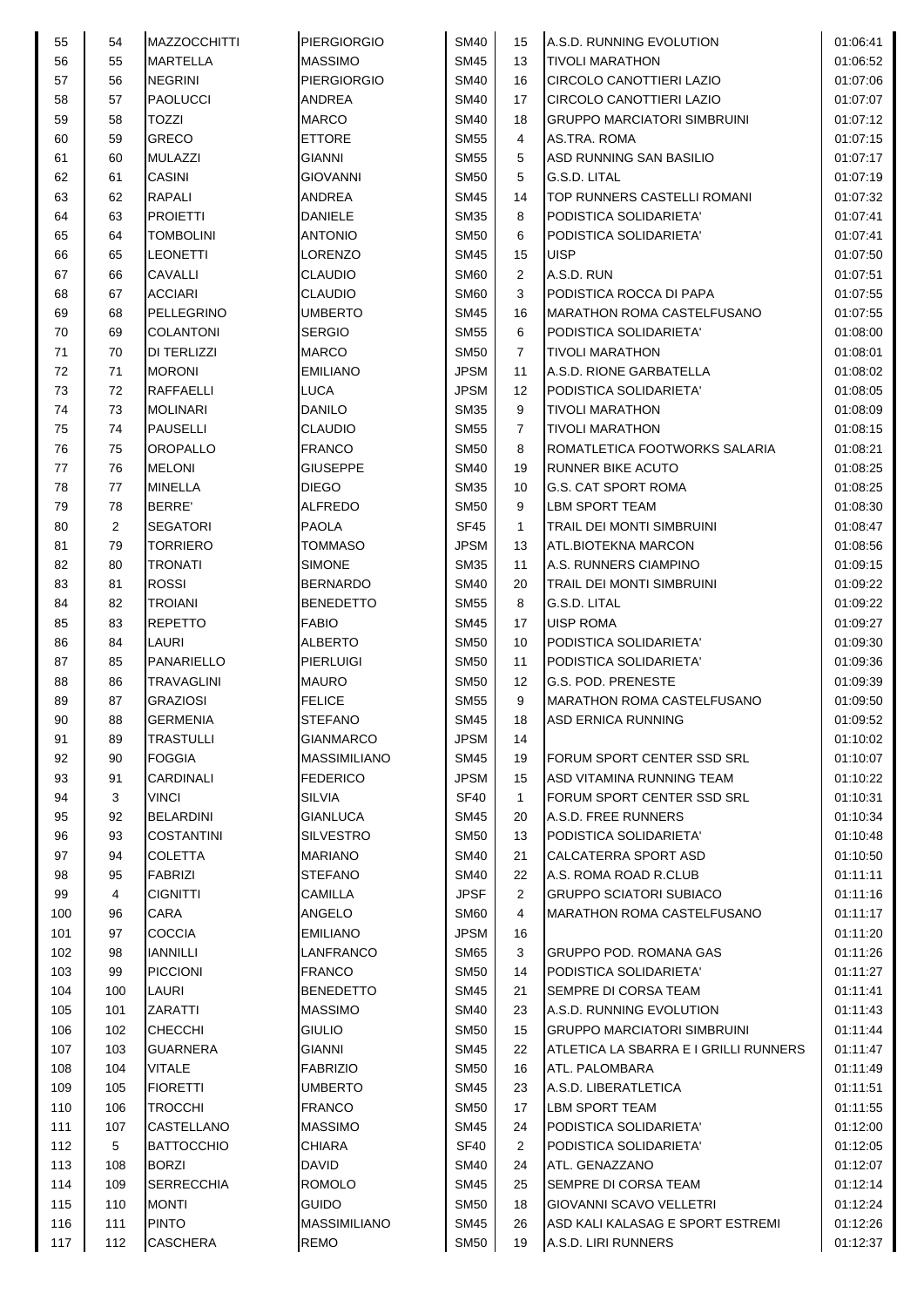| 55  | 54  | <b>MAZZOCCHITTI</b> | <b>PIERGIORGIO</b>  | <b>SM40</b> | 15             | A.S.D. RUNNING EVOLUTION              | 01:06:41 |
|-----|-----|---------------------|---------------------|-------------|----------------|---------------------------------------|----------|
| 56  | 55  | <b>MARTELLA</b>     | <b>MASSIMO</b>      | <b>SM45</b> | 13             | <b>TIVOLI MARATHON</b>                | 01:06:52 |
| 57  | 56  | <b>NEGRINI</b>      | <b>PIERGIORGIO</b>  | <b>SM40</b> | 16             | CIRCOLO CANOTTIERI LAZIO              | 01:07:06 |
| 58  | 57  | <b>PAOLUCCI</b>     | <b>ANDREA</b>       | <b>SM40</b> | 17             | <b>CIRCOLO CANOTTIERI LAZIO</b>       | 01:07:07 |
| 59  | 58  | <b>TOZZI</b>        | <b>MARCO</b>        | <b>SM40</b> | 18             | <b>GRUPPO MARCIATORI SIMBRUINI</b>    | 01:07:12 |
| 60  | 59  | <b>GRECO</b>        | <b>ETTORE</b>       | <b>SM55</b> | 4              | AS.TRA. ROMA                          | 01:07:15 |
| 61  | 60  | <b>MULAZZI</b>      | <b>GIANNI</b>       | <b>SM55</b> | 5              | ASD RUNNING SAN BASILIO               | 01:07:17 |
| 62  | 61  | <b>CASINI</b>       | <b>GIOVANNI</b>     | <b>SM50</b> | 5              | G.S.D. LITAL                          | 01:07:19 |
| 63  | 62  | <b>RAPALI</b>       | <b>ANDREA</b>       | <b>SM45</b> | 14             | TOP RUNNERS CASTELLI ROMANI           | 01:07:32 |
| 64  | 63  | <b>PROJETTI</b>     | <b>DANIELE</b>      | <b>SM35</b> | 8              | PODISTICA SOLIDARIETA'                | 01:07:41 |
| 65  | 64  | <b>TOMBOLINI</b>    | <b>ANTONIO</b>      | <b>SM50</b> | 6              | PODISTICA SOLIDARIETA'                | 01:07:41 |
| 66  | 65  | LEONETTI            | <b>LORENZO</b>      | <b>SM45</b> | 15             | <b>UISP</b>                           | 01:07:50 |
| 67  | 66  | CAVALLI             | <b>CLAUDIO</b>      | <b>SM60</b> | 2              | A.S.D. RUN                            | 01:07:51 |
| 68  | 67  | <b>ACCIARI</b>      | <b>CLAUDIO</b>      | <b>SM60</b> | 3              | PODISTICA ROCCA DI PAPA               | 01:07:55 |
| 69  | 68  | PELLEGRINO          | <b>UMBERTO</b>      | <b>SM45</b> | 16             | <b>MARATHON ROMA CASTELFUSANO</b>     | 01:07:55 |
| 70  | 69  | <b>COLANTONI</b>    | <b>SERGIO</b>       | <b>SM55</b> | 6              | PODISTICA SOLIDARIETA'                | 01:08:00 |
| 71  | 70  | DI TERLIZZI         | <b>MARCO</b>        | <b>SM50</b> | $\overline{7}$ | <b>TIVOLI MARATHON</b>                | 01:08:01 |
| 72  | 71  | <b>MORONI</b>       | <b>EMILIANO</b>     | <b>JPSM</b> | 11             | A.S.D. RIONE GARBATELLA               | 01:08:02 |
| 73  | 72  | RAFFAELLI           | <b>LUCA</b>         | <b>JPSM</b> | 12             | PODISTICA SOLIDARIETA'                | 01:08:05 |
| 74  | 73  | <b>MOLINARI</b>     | <b>DANILO</b>       | <b>SM35</b> | 9              | <b>TIVOLI MARATHON</b>                | 01:08:09 |
| 75  | 74  | <b>PAUSELLI</b>     | <b>CLAUDIO</b>      | <b>SM55</b> | $\overline{7}$ | <b>TIVOLI MARATHON</b>                | 01:08:15 |
| 76  | 75  | OROPALLO            | <b>FRANCO</b>       | <b>SM50</b> | 8              | ROMATLETICA FOOTWORKS SALARIA         | 01:08:21 |
| 77  | 76  | <b>MELONI</b>       | <b>GIUSEPPE</b>     | <b>SM40</b> | 19             | <b>RUNNER BIKE ACUTO</b>              | 01:08:25 |
| 78  | 77  | <b>MINELLA</b>      | <b>DIEGO</b>        | <b>SM35</b> | 10             | <b>G.S. CAT SPORT ROMA</b>            | 01:08:25 |
| 79  | 78  | <b>BERRE</b>        | <b>ALFREDO</b>      | <b>SM50</b> | 9              | LBM SPORT TEAM                        | 01:08:30 |
| 80  | 2   | <b>SEGATORI</b>     | <b>PAOLA</b>        | <b>SF45</b> | $\mathbf{1}$   | TRAIL DEI MONTI SIMBRUINI             | 01:08:47 |
| 81  | 79  | <b>TORRIERO</b>     | <b>TOMMASO</b>      | <b>JPSM</b> | 13             | ATL.BIOTEKNA MARCON                   | 01:08:56 |
| 82  | 80  | <b>TRONATI</b>      | <b>SIMONE</b>       | <b>SM35</b> | 11             | A.S. RUNNERS CIAMPINO                 | 01:09:15 |
| 83  | 81  | <b>ROSSI</b>        | <b>BERNARDO</b>     | <b>SM40</b> | 20             | TRAIL DEI MONTI SIMBRUINI             | 01:09:22 |
| 84  | 82  | <b>TROIANI</b>      | <b>BENEDETTO</b>    | <b>SM55</b> | 8              | G.S.D. LITAL                          | 01:09:22 |
| 85  | 83  | <b>REPETTO</b>      | <b>FABIO</b>        | <b>SM45</b> | 17             | <b>UISP ROMA</b>                      | 01:09:27 |
| 86  | 84  | <b>LAURI</b>        | <b>ALBERTO</b>      | <b>SM50</b> | 10             | PODISTICA SOLIDARIETA'                | 01:09:30 |
| 87  | 85  | <b>PANARIELLO</b>   | <b>PIERLUIGI</b>    | <b>SM50</b> | 11             | <b>PODISTICA SOLIDARIETA'</b>         | 01:09:36 |
| 88  | 86  | <b>TRAVAGLINI</b>   | <b>MAURO</b>        | <b>SM50</b> | 12             | G.S. POD. PRENESTE                    | 01:09:39 |
| 89  | 87  | <b>GRAZIOSI</b>     | <b>FELICE</b>       | <b>SM55</b> | 9              | <b>MARATHON ROMA CASTELFUSANO</b>     | 01:09:50 |
| 90  | 88  | <b>GERMENIA</b>     | <b>STEFANO</b>      | <b>SM45</b> | 18             | <b>ASD ERNICA RUNNING</b>             | 01:09:52 |
| 91  | 89  | <b>TRASTULLI</b>    | <b>GIANMARCO</b>    | <b>JPSM</b> | 14             |                                       | 01:10:02 |
| 92  | 90  | <b>FOGGIA</b>       | <b>MASSIMILIANO</b> | <b>SM45</b> | 19             | FORUM SPORT CENTER SSD SRL            | 01:10:07 |
| 93  | 91  | CARDINALI           | <b>FEDERICO</b>     | <b>JPSM</b> | 15             | ASD VITAMINA RUNNING TEAM             | 01:10:22 |
| 94  | 3   | VINCI               | <b>SILVIA</b>       | <b>SF40</b> | $\mathbf{1}$   | FORUM SPORT CENTER SSD SRL            | 01:10:31 |
| 95  | 92  | <b>BELARDINI</b>    | <b>GIANLUCA</b>     | <b>SM45</b> | 20             | A.S.D. FREE RUNNERS                   | 01:10:34 |
| 96  | 93  | COSTANTINI          | <b>SILVESTRO</b>    | <b>SM50</b> | 13             | PODISTICA SOLIDARIETA'                | 01:10:48 |
| 97  | 94  | <b>COLETTA</b>      | <b>MARIANO</b>      | <b>SM40</b> | 21             | CALCATERRA SPORT ASD                  | 01:10:50 |
| 98  | 95  | <b>FABRIZI</b>      | <b>STEFANO</b>      | <b>SM40</b> | 22             | A.S. ROMA ROAD R.CLUB                 | 01:11:11 |
| 99  | 4   | <b>CIGNITTI</b>     | <b>CAMILLA</b>      | <b>JPSF</b> | 2              | <b>GRUPPO SCIATORI SUBIACO</b>        | 01:11:16 |
| 100 | 96  | CARA                | <b>ANGELO</b>       | <b>SM60</b> | 4              | MARATHON ROMA CASTELFUSANO            | 01:11:17 |
| 101 | 97  | <b>COCCIA</b>       | <b>EMILIANO</b>     | <b>JPSM</b> | 16             |                                       | 01:11:20 |
| 102 | 98  | <b>IANNILLI</b>     | LANFRANCO           | <b>SM65</b> | 3              | <b>GRUPPO POD. ROMANA GAS</b>         | 01:11:26 |
| 103 | 99  | <b>PICCIONI</b>     | <b>FRANCO</b>       | <b>SM50</b> | 14             | PODISTICA SOLIDARIETA'                | 01:11:27 |
| 104 | 100 | LAURI               | <b>BENEDETTO</b>    | <b>SM45</b> | 21             | <b>SEMPRE DI CORSA TEAM</b>           | 01:11:41 |
| 105 | 101 | ZARATTI             | <b>MASSIMO</b>      | <b>SM40</b> | 23             | A.S.D. RUNNING EVOLUTION              | 01:11:43 |
| 106 | 102 | <b>CHECCHI</b>      | <b>GIULIO</b>       | <b>SM50</b> | 15             | <b>GRUPPO MARCIATORI SIMBRUINI</b>    | 01:11:44 |
| 107 | 103 | <b>GUARNERA</b>     | <b>GIANNI</b>       | <b>SM45</b> | 22             | ATLETICA LA SBARRA E I GRILLI RUNNERS | 01:11:47 |
| 108 | 104 | <b>VITALE</b>       | <b>FABRIZIO</b>     | <b>SM50</b> | 16             | ATL. PALOMBARA                        | 01:11:49 |
| 109 | 105 | <b>FIORETTI</b>     | <b>UMBERTO</b>      | <b>SM45</b> | 23             | A.S.D. LIBERATLETICA                  | 01:11:51 |
| 110 | 106 | <b>TROCCHI</b>      | <b>FRANCO</b>       | <b>SM50</b> | 17             | <b>LBM SPORT TEAM</b>                 | 01:11:55 |
| 111 | 107 | CASTELLANO          | <b>MASSIMO</b>      | <b>SM45</b> | 24             | PODISTICA SOLIDARIETA'                | 01:12:00 |
| 112 | 5   | <b>BATTOCCHIO</b>   | <b>CHIARA</b>       | <b>SF40</b> | $\overline{2}$ | PODISTICA SOLIDARIETA'                | 01:12:05 |
| 113 | 108 | <b>BORZI</b>        | <b>DAVID</b>        | <b>SM40</b> | 24             | ATL. GENAZZANO                        | 01:12:07 |
| 114 | 109 | <b>SERRECCHIA</b>   | <b>ROMOLO</b>       | <b>SM45</b> | 25             | <b>SEMPRE DI CORSA TEAM</b>           | 01:12:14 |
| 115 | 110 | <b>MONTI</b>        | <b>GUIDO</b>        | <b>SM50</b> | 18             | <b>GIOVANNI SCAVO VELLETRI</b>        | 01:12:24 |
| 116 | 111 | <b>PINTO</b>        | <b>MASSIMILIANO</b> | <b>SM45</b> | 26             | ASD KALI KALASAG E SPORT ESTREMI      | 01:12:26 |
| 117 | 112 | <b>CASCHERA</b>     | <b>REMO</b>         | <b>SM50</b> | 19             | A.S.D. LIRI RUNNERS                   | 01:12:37 |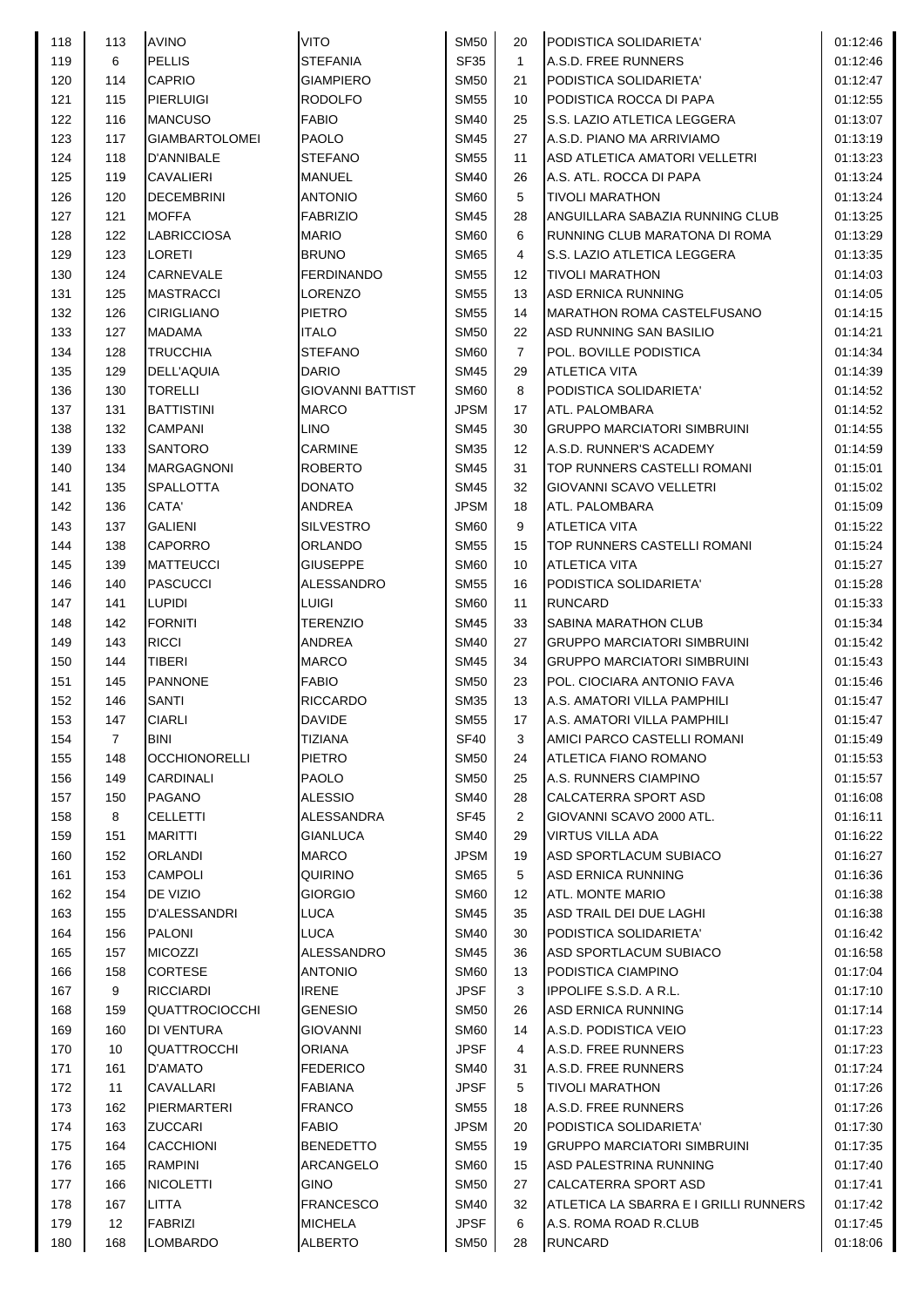| 118 | 113            | <b>AVINO</b>          | <b>VITO</b>             | <b>SM50</b> | 20             | PODISTICA SOLIDARIETA'                | 01:12:46 |
|-----|----------------|-----------------------|-------------------------|-------------|----------------|---------------------------------------|----------|
| 119 | 6              | <b>PELLIS</b>         | <b>STEFANIA</b>         | <b>SF35</b> | $\mathbf{1}$   | A.S.D. FREE RUNNERS                   | 01:12:46 |
| 120 | 114            | CAPRIO                | <b>GIAMPIERO</b>        | <b>SM50</b> | 21             | PODISTICA SOLIDARIETA'                | 01:12:47 |
| 121 | 115            | <b>PIERLUIGI</b>      | <b>RODOLFO</b>          | <b>SM55</b> | 10             | PODISTICA ROCCA DI PAPA               | 01:12:55 |
| 122 | 116            | <b>MANCUSO</b>        | <b>FABIO</b>            | <b>SM40</b> | 25             | S.S. LAZIO ATLETICA LEGGERA           | 01:13:07 |
| 123 | 117            | <b>GIAMBARTOLOMEI</b> | <b>PAOLO</b>            | <b>SM45</b> | 27             | A.S.D. PIANO MA ARRIVIAMO             | 01:13:19 |
| 124 | 118            | D'ANNIBALE            | <b>STEFANO</b>          | <b>SM55</b> | 11             | ASD ATLETICA AMATORI VELLETRI         | 01:13:23 |
| 125 | 119            | <b>CAVALIERI</b>      | <b>MANUEL</b>           | <b>SM40</b> | 26             | A.S. ATL. ROCCA DI PAPA               | 01:13:24 |
| 126 | 120            | <b>DECEMBRINI</b>     | <b>ANTONIO</b>          | <b>SM60</b> | 5              | <b>TIVOLI MARATHON</b>                | 01:13:24 |
| 127 | 121            | <b>MOFFA</b>          | <b>FABRIZIO</b>         | <b>SM45</b> | 28             | ANGUILLARA SABAZIA RUNNING CLUB       | 01:13:25 |
| 128 | 122            | <b>LABRICCIOSA</b>    | <b>MARIO</b>            | <b>SM60</b> | 6              | RUNNING CLUB MARATONA DI ROMA         | 01:13:29 |
| 129 | 123            | LORETI                | <b>BRUNO</b>            | <b>SM65</b> | 4              | S.S. LAZIO ATLETICA LEGGERA           | 01:13:35 |
| 130 | 124            | CARNEVALE             | <b>FERDINANDO</b>       | <b>SM55</b> | 12             | <b>TIVOLI MARATHON</b>                | 01:14:03 |
| 131 | 125            | <b>MASTRACCI</b>      | <b>LORENZO</b>          | <b>SM55</b> | 13             | <b>ASD ERNICA RUNNING</b>             | 01:14:05 |
| 132 | 126            | <b>CIRIGLIANO</b>     | <b>PIETRO</b>           | <b>SM55</b> | 14             | <b>MARATHON ROMA CASTELFUSANO</b>     | 01:14:15 |
| 133 | 127            | <b>MADAMA</b>         | <b>ITALO</b>            | <b>SM50</b> | 22             | ASD RUNNING SAN BASILIO               | 01:14:21 |
| 134 | 128            | <b>TRUCCHIA</b>       | <b>STEFANO</b>          | <b>SM60</b> | $\overline{7}$ | POL. BOVILLE PODISTICA                | 01:14:34 |
| 135 | 129            | <b>DELL'AQUIA</b>     | <b>DARIO</b>            | <b>SM45</b> | 29             | <b>ATLETICA VITA</b>                  | 01:14:39 |
| 136 | 130            | <b>TORELLI</b>        | <b>GIOVANNI BATTIST</b> | <b>SM60</b> | 8              | PODISTICA SOLIDARIETA'                | 01:14:52 |
| 137 | 131            | <b>BATTISTINI</b>     | <b>MARCO</b>            | <b>JPSM</b> | 17             | ATL. PALOMBARA                        | 01:14:52 |
| 138 | 132            | <b>CAMPANI</b>        | <b>LINO</b>             | <b>SM45</b> | 30             | <b>GRUPPO MARCIATORI SIMBRUINI</b>    | 01:14:55 |
| 139 | 133            | <b>SANTORO</b>        | <b>CARMINE</b>          | <b>SM35</b> | 12             | A.S.D. RUNNER'S ACADEMY               | 01:14:59 |
|     | 134            |                       |                         | <b>SM45</b> |                |                                       |          |
| 140 |                | MARGAGNONI            | <b>ROBERTO</b>          | <b>SM45</b> | 31             | TOP RUNNERS CASTELLI ROMANI           | 01:15:01 |
| 141 | 135            | <b>SPALLOTTA</b>      | <b>DONATO</b>           |             | 32             | GIOVANNI SCAVO VELLETRI               | 01:15:02 |
| 142 | 136            | CATA'                 | <b>ANDREA</b>           | <b>JPSM</b> | 18             | ATL. PALOMBARA                        | 01:15:09 |
| 143 | 137            | <b>GALIENI</b>        | <b>SILVESTRO</b>        | <b>SM60</b> | 9              | <b>ATLETICA VITA</b>                  | 01:15:22 |
| 144 | 138            | CAPORRO               | ORLANDO                 | <b>SM55</b> | 15             | TOP RUNNERS CASTELLI ROMANI           | 01:15:24 |
| 145 | 139            | <b>MATTEUCCI</b>      | <b>GIUSEPPE</b>         | <b>SM60</b> | 10             | <b>ATLETICA VITA</b>                  | 01:15:27 |
| 146 | 140            | <b>PASCUCCI</b>       | ALESSANDRO              | <b>SM55</b> | 16             | PODISTICA SOLIDARIETA'                | 01:15:28 |
| 147 | 141            | <b>LUPIDI</b>         | LUIGI                   | <b>SM60</b> | 11             | <b>RUNCARD</b>                        | 01:15:33 |
| 148 | 142            | <b>FORNITI</b>        | <b>TERENZIO</b>         | <b>SM45</b> | 33             | <b>SABINA MARATHON CLUB</b>           | 01:15:34 |
| 149 | 143            | <b>RICCI</b>          | <b>ANDREA</b>           | <b>SM40</b> | 27             | <b>GRUPPO MARCIATORI SIMBRUINI</b>    | 01:15:42 |
| 150 | 144            | TIBERI                | <b>MARCO</b>            | <b>SM45</b> | 34             | <b>GRUPPO MARCIATORI SIMBRUINI</b>    | 01:15:43 |
| 151 | 145            | <b>PANNONE</b>        | <b>FABIO</b>            | <b>SM50</b> | 23             | POL. CIOCIARA ANTONIO FAVA            | 01:15:46 |
| 152 | 146            | <b>SANTI</b>          | <b>RICCARDO</b>         | <b>SM35</b> | 13             | A.S. AMATORI VILLA PAMPHILI           | 01:15:47 |
| 153 | 147            | <b>CIARLI</b>         | <b>DAVIDE</b>           | <b>SM55</b> | 17             | A.S. AMATORI VILLA PAMPHILI           | 01:15:47 |
| 154 | $\overline{7}$ | <b>BINI</b>           | <b>TIZIANA</b>          | <b>SF40</b> | 3              | AMICI PARCO CASTELLI ROMANI           | 01:15:49 |
| 155 | 148            | <b>OCCHIONORELLI</b>  | <b>PIETRO</b>           | <b>SM50</b> | 24             | ATLETICA FIANO ROMANO                 | 01:15:53 |
| 156 | 149            | CARDINALI             | <b>PAOLO</b>            | <b>SM50</b> | 25             | A.S. RUNNERS CIAMPINO                 | 01:15:57 |
| 157 | 150            | PAGANO                | <b>ALESSIO</b>          | <b>SM40</b> | 28             | CALCATERRA SPORT ASD                  | 01:16:08 |
| 158 | 8              | <b>CELLETTI</b>       | ALESSANDRA              | <b>SF45</b> | $\overline{2}$ | GIOVANNI SCAVO 2000 ATL.              | 01:16:11 |
| 159 | 151            | <b>MARITTI</b>        | <b>GIANLUCA</b>         | <b>SM40</b> | 29             | VIRTUS VILLA ADA                      | 01:16:22 |
| 160 | 152            | <b>ORLANDI</b>        | <b>MARCO</b>            | <b>JPSM</b> | 19             | ASD SPORTLACUM SUBIACO                | 01:16:27 |
| 161 | 153            | <b>CAMPOLI</b>        | QUIRINO                 | <b>SM65</b> | 5              | <b>ASD ERNICA RUNNING</b>             | 01:16:36 |
| 162 | 154            | DE VIZIO              | <b>GIORGIO</b>          | <b>SM60</b> | 12             | ATL. MONTE MARIO                      | 01:16:38 |
| 163 | 155            | D'ALESSANDRI          | <b>LUCA</b>             | <b>SM45</b> | 35             | ASD TRAIL DEI DUE LAGHI               | 01:16:38 |
| 164 | 156            | PALONI                | <b>LUCA</b>             | <b>SM40</b> | 30             | PODISTICA SOLIDARIETA'                | 01:16:42 |
| 165 | 157            | <b>MICOZZI</b>        | ALESSANDRO              | <b>SM45</b> | 36             | ASD SPORTLACUM SUBIACO                | 01:16:58 |
| 166 | 158            | <b>CORTESE</b>        | <b>ANTONIO</b>          | <b>SM60</b> | 13             | PODISTICA CIAMPINO                    | 01:17:04 |
| 167 | 9              | <b>RICCIARDI</b>      | <b>IRENE</b>            | <b>JPSF</b> | 3              | IPPOLIFE S.S.D. A R.L.                | 01:17:10 |
| 168 | 159            | <b>QUATTROCIOCCHI</b> | <b>GENESIO</b>          | <b>SM50</b> | 26             | <b>ASD ERNICA RUNNING</b>             | 01:17:14 |
| 169 | 160            | DI VENTURA            | <b>GIOVANNI</b>         | <b>SM60</b> | 14             | A.S.D. PODISTICA VEIO                 | 01:17:23 |
| 170 | 10             | QUATTROCCHI           | <b>ORIANA</b>           | <b>JPSF</b> | 4              | A.S.D. FREE RUNNERS                   | 01:17:23 |
| 171 | 161            | D'AMATO               | <b>FEDERICO</b>         | <b>SM40</b> | 31             | A.S.D. FREE RUNNERS                   | 01:17:24 |
| 172 | 11             | CAVALLARI             | <b>FABIANA</b>          | JPSF        | 5              | <b>TIVOLI MARATHON</b>                | 01:17:26 |
| 173 | 162            | PIERMARTERI           | <b>FRANCO</b>           | <b>SM55</b> | 18             | A.S.D. FREE RUNNERS                   | 01:17:26 |
| 174 | 163            | ZUCCARI               | <b>FABIO</b>            | <b>JPSM</b> | 20             | PODISTICA SOLIDARIETA'                | 01:17:30 |
| 175 | 164            | <b>CACCHIONI</b>      | <b>BENEDETTO</b>        | <b>SM55</b> | 19             | <b>GRUPPO MARCIATORI SIMBRUINI</b>    | 01:17:35 |
| 176 | 165            | <b>RAMPINI</b>        | <b>ARCANGELO</b>        | <b>SM60</b> | 15             | ASD PALESTRINA RUNNING                | 01:17:40 |
| 177 | 166            | <b>NICOLETTI</b>      | <b>GINO</b>             | <b>SM50</b> | 27             | CALCATERRA SPORT ASD                  | 01:17:41 |
| 178 | 167            | <b>LITTA</b>          | <b>FRANCESCO</b>        | <b>SM40</b> | 32             | ATLETICA LA SBARRA E I GRILLI RUNNERS | 01:17:42 |
| 179 | 12             | <b>FABRIZI</b>        | <b>MICHELA</b>          | <b>JPSF</b> | 6              | A.S. ROMA ROAD R.CLUB                 | 01:17:45 |
| 180 | 168            | LOMBARDO              | <b>ALBERTO</b>          | <b>SM50</b> | 28             | <b>RUNCARD</b>                        | 01:18:06 |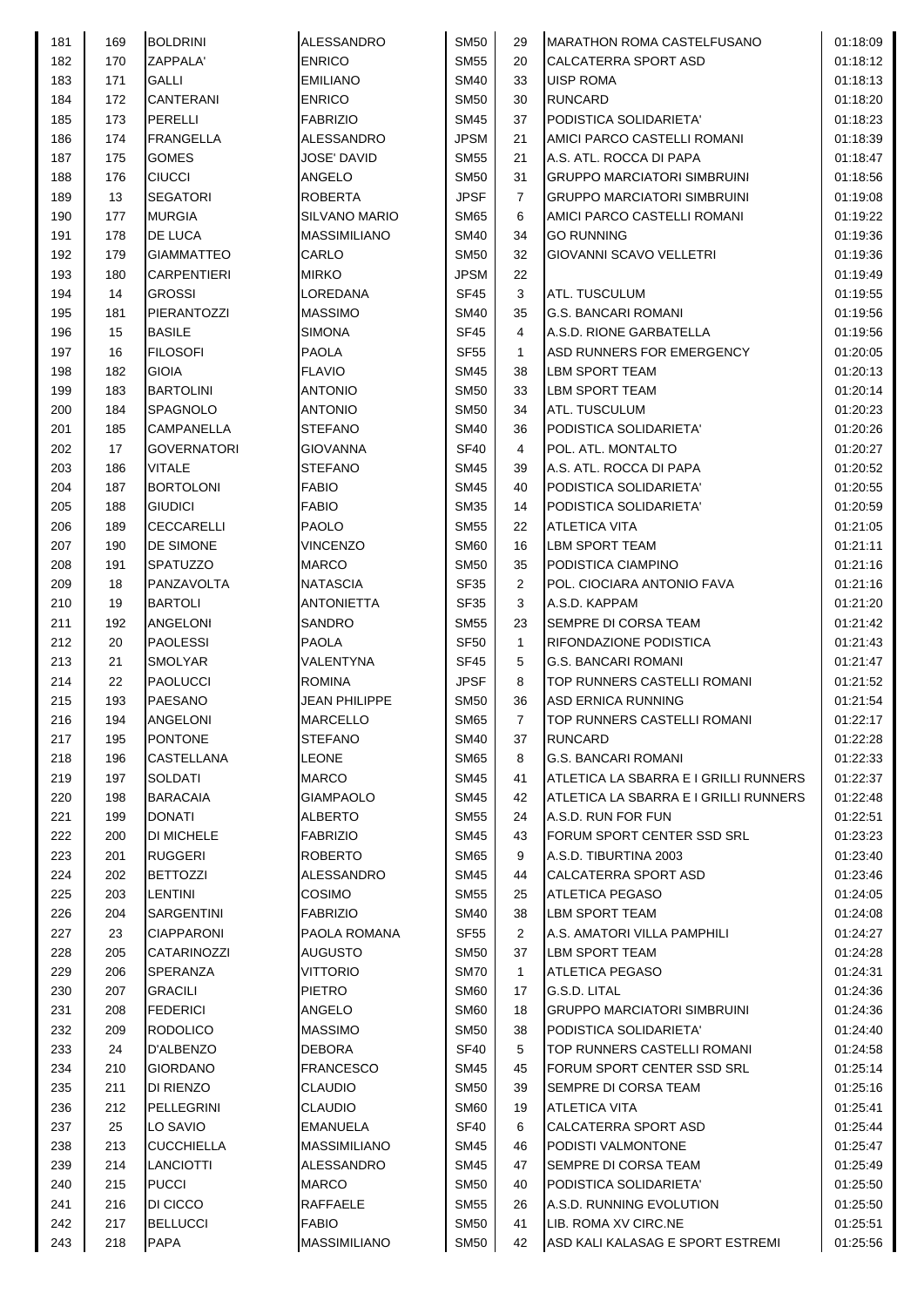| 181 | 169 | <b>BOLDRINI</b>    | ALESSANDRO           | <b>SM50</b> | 29             | <b>MARATHON ROMA CASTELFUSANO</b>     | 01:18:09 |
|-----|-----|--------------------|----------------------|-------------|----------------|---------------------------------------|----------|
| 182 | 170 | ZAPPALA'           | <b>ENRICO</b>        | <b>SM55</b> | 20             | CALCATERRA SPORT ASD                  | 01:18:12 |
| 183 | 171 | GALLI              | <b>EMILIANO</b>      | <b>SM40</b> | 33             | <b>UISP ROMA</b>                      | 01:18:13 |
| 184 | 172 | CANTERANI          | <b>ENRICO</b>        | <b>SM50</b> | 30             | <b>RUNCARD</b>                        | 01:18:20 |
| 185 | 173 | PERELLI            | <b>FABRIZIO</b>      | <b>SM45</b> | 37             | PODISTICA SOLIDARIETA'                | 01:18:23 |
| 186 | 174 | FRANGELLA          | ALESSANDRO           | <b>JPSM</b> | 21             | AMICI PARCO CASTELLI ROMANI           | 01:18:39 |
| 187 | 175 | <b>GOMES</b>       | JOSE' DAVID          | <b>SM55</b> | 21             | A.S. ATL. ROCCA DI PAPA               | 01:18:47 |
|     |     |                    |                      |             |                |                                       |          |
| 188 | 176 | <b>CIUCCI</b>      | ANGELO               | <b>SM50</b> | 31             | <b>GRUPPO MARCIATORI SIMBRUINI</b>    | 01:18:56 |
| 189 | 13  | <b>SEGATORI</b>    | <b>ROBERTA</b>       | <b>JPSF</b> | $\overline{7}$ | <b>GRUPPO MARCIATORI SIMBRUINI</b>    | 01:19:08 |
| 190 | 177 | <b>MURGIA</b>      | <b>SILVANO MARIO</b> | <b>SM65</b> | 6              | AMICI PARCO CASTELLI ROMANI           | 01:19:22 |
| 191 | 178 | DE LUCA            | <b>MASSIMILIANO</b>  | <b>SM40</b> | 34             | <b>GO RUNNING</b>                     | 01:19:36 |
| 192 | 179 | <b>GIAMMATTEO</b>  | CARLO                | <b>SM50</b> | 32             | <b>GIOVANNI SCAVO VELLETRI</b>        | 01:19:36 |
| 193 | 180 | <b>CARPENTIERI</b> | <b>MIRKO</b>         | <b>JPSM</b> | 22             |                                       | 01:19:49 |
| 194 | 14  | <b>GROSSI</b>      | LOREDANA             | <b>SF45</b> | 3              | <b>ATL. TUSCULUM</b>                  | 01:19:55 |
| 195 | 181 | PIERANTOZZI        | <b>MASSIMO</b>       | <b>SM40</b> | 35             | <b>G.S. BANCARI ROMANI</b>            | 01:19:56 |
| 196 | 15  | <b>BASILE</b>      | <b>SIMONA</b>        | <b>SF45</b> | 4              | A.S.D. RIONE GARBATELLA               | 01:19:56 |
| 197 |     | <b>FILOSOFI</b>    | <b>PAOLA</b>         | <b>SF55</b> |                | <b>ASD RUNNERS FOR EMERGENCY</b>      | 01:20:05 |
|     | 16  |                    |                      |             | 1              |                                       |          |
| 198 | 182 | GIOIA              | <b>FLAVIO</b>        | <b>SM45</b> | 38             | LBM SPORT TEAM                        | 01:20:13 |
| 199 | 183 | <b>BARTOLINI</b>   | <b>ANTONIO</b>       | <b>SM50</b> | 33             | LBM SPORT TEAM                        | 01:20:14 |
| 200 | 184 | <b>SPAGNOLO</b>    | <b>ANTONIO</b>       | <b>SM50</b> | 34             | <b>ATL. TUSCULUM</b>                  | 01:20:23 |
| 201 | 185 | CAMPANELLA         | <b>STEFANO</b>       | <b>SM40</b> | 36             | PODISTICA SOLIDARIETA'                | 01:20:26 |
| 202 | 17  | <b>GOVERNATORI</b> | GIOVANNA             | <b>SF40</b> | 4              | POL. ATL. MONTALTO                    | 01:20:27 |
| 203 | 186 | VITALE             | <b>STEFANO</b>       | <b>SM45</b> | 39             | A.S. ATL. ROCCA DI PAPA               | 01:20:52 |
| 204 | 187 | <b>BORTOLONI</b>   | <b>FABIO</b>         | <b>SM45</b> | 40             | PODISTICA SOLIDARIETA'                | 01:20:55 |
| 205 | 188 | <b>GIUDICI</b>     | <b>FABIO</b>         | <b>SM35</b> | 14             | PODISTICA SOLIDARIETA'                | 01:20:59 |
| 206 | 189 | CECCARELLI         | <b>PAOLO</b>         | <b>SM55</b> | 22             | <b>ATLETICA VITA</b>                  | 01:21:05 |
| 207 | 190 | DE SIMONE          | <b>VINCENZO</b>      | <b>SM60</b> | 16             | <b>LBM SPORT TEAM</b>                 | 01:21:11 |
|     |     |                    |                      |             |                |                                       |          |
| 208 | 191 | SPATUZZO           | <b>MARCO</b>         | <b>SM50</b> | 35             | PODISTICA CIAMPINO                    | 01:21:16 |
| 209 | 18  | PANZAVOLTA         | <b>NATASCIA</b>      | <b>SF35</b> | $\overline{2}$ | POL. CIOCIARA ANTONIO FAVA            | 01:21:16 |
| 210 | 19  | <b>BARTOLI</b>     | ANTONIETTA           | <b>SF35</b> | 3              | A.S.D. KAPPAM                         | 01:21:20 |
| 211 | 192 | <b>ANGELONI</b>    | <b>SANDRO</b>        | <b>SM55</b> | 23             | <b>SEMPRE DI CORSA TEAM</b>           | 01:21:42 |
| 212 | 20  | <b>PAOLESSI</b>    | <b>PAOLA</b>         | <b>SF50</b> | $\mathbf{1}$   | RIFONDAZIONE PODISTICA                | 01:21:43 |
| 213 | 21  | <b>SMOLYAR</b>     | VALENTYNA            | SF45        | 5              | <b>G.S. BANCARI ROMANI</b>            | 01:21:47 |
| 214 | 22  | <b>PAOLUCCI</b>    | <b>ROMINA</b>        | <b>JPSF</b> | 8              | TOP RUNNERS CASTELLI ROMANI           | 01:21:52 |
| 215 | 193 | <b>PAESANO</b>     | JEAN PHILIPPE        | <b>SM50</b> | 36             | ASD ERNICA RUNNING                    | 01:21:54 |
| 216 | 194 | <b>ANGELONI</b>    | <b>MARCELLO</b>      | <b>SM65</b> | $\overline{7}$ | TOP RUNNERS CASTELLI ROMANI           | 01:22:17 |
| 217 | 195 | <b>PONTONE</b>     | <b>STEFANO</b>       | <b>SM40</b> | 37             | <b>RUNCARD</b>                        | 01:22:28 |
| 218 | 196 | CASTELLANA         | <b>LEONE</b>         | <b>SM65</b> | 8              | <b>G.S. BANCARI ROMANI</b>            |          |
|     |     |                    |                      |             |                |                                       | 01:22:33 |
| 219 | 197 | SOLDATI            | <b>MARCO</b>         | <b>SM45</b> | 41             | ATLETICA LA SBARRA E I GRILLI RUNNERS | 01:22:37 |
| 220 | 198 | <b>BARACAIA</b>    | <b>GIAMPAOLO</b>     | <b>SM45</b> | 42             | ATLETICA LA SBARRA E I GRILLI RUNNERS | 01:22:48 |
| 221 | 199 | <b>DONATI</b>      | <b>ALBERTO</b>       | <b>SM55</b> | 24             | A.S.D. RUN FOR FUN                    | 01:22:51 |
| 222 | 200 | DI MICHELE         | <b>FABRIZIO</b>      | <b>SM45</b> | 43             | FORUM SPORT CENTER SSD SRL            | 01:23:23 |
| 223 | 201 | <b>RUGGERI</b>     | <b>ROBERTO</b>       | <b>SM65</b> | 9              | A.S.D. TIBURTINA 2003                 | 01:23:40 |
| 224 | 202 | <b>BETTOZZI</b>    | ALESSANDRO           | <b>SM45</b> | 44             | CALCATERRA SPORT ASD                  | 01:23:46 |
| 225 | 203 | <b>LENTINI</b>     | <b>COSIMO</b>        | <b>SM55</b> | 25             | ATLETICA PEGASO                       | 01:24:05 |
| 226 | 204 | SARGENTINI         | <b>FABRIZIO</b>      | <b>SM40</b> | 38             | LBM SPORT TEAM                        | 01:24:08 |
| 227 | 23  | CIAPPARONI         | PAOLA ROMANA         | <b>SF55</b> | $\overline{2}$ | A.S. AMATORI VILLA PAMPHILI           | 01:24:27 |
| 228 | 205 | CATARINOZZI        | <b>AUGUSTO</b>       | <b>SM50</b> | 37             | <b>LBM SPORT TEAM</b>                 | 01:24:28 |
| 229 | 206 | SPERANZA           | <b>VITTORIO</b>      | <b>SM70</b> | $\mathbf{1}$   | <b>ATLETICA PEGASO</b>                | 01:24:31 |
|     |     |                    |                      |             |                |                                       |          |
| 230 | 207 | <b>GRACILI</b>     | <b>PIETRO</b>        | <b>SM60</b> | 17             | G.S.D. LITAL                          | 01:24:36 |
| 231 | 208 | <b>FEDERICI</b>    | ANGELO               | <b>SM60</b> | 18             | <b>GRUPPO MARCIATORI SIMBRUINI</b>    | 01:24:36 |
| 232 | 209 | <b>RODOLICO</b>    | <b>MASSIMO</b>       | <b>SM50</b> | 38             | PODISTICA SOLIDARIETA'                | 01:24:40 |
| 233 | 24  | D'ALBENZO          | DEBORA               | <b>SF40</b> | 5              | TOP RUNNERS CASTELLI ROMANI           | 01:24:58 |
| 234 | 210 | <b>GIORDANO</b>    | <b>FRANCESCO</b>     | <b>SM45</b> | 45             | FORUM SPORT CENTER SSD SRL            | 01:25:14 |
| 235 | 211 | DI RIENZO          | CLAUDIO              | <b>SM50</b> | 39             | <b>SEMPRE DI CORSA TEAM</b>           | 01:25:16 |
| 236 | 212 | PELLEGRINI         | <b>CLAUDIO</b>       | <b>SM60</b> | 19             | <b>ATLETICA VITA</b>                  | 01:25:41 |
| 237 | 25  | LO SAVIO           | <b>EMANUELA</b>      | <b>SF40</b> | 6              | CALCATERRA SPORT ASD                  | 01:25:44 |
| 238 | 213 | <b>CUCCHIELLA</b>  | <b>MASSIMILIANO</b>  | <b>SM45</b> | 46             | PODISTI VALMONTONE                    | 01:25:47 |
| 239 | 214 | LANCIOTTI          | ALESSANDRO           | <b>SM45</b> | 47             | <b>SEMPRE DI CORSA TEAM</b>           | 01:25:49 |
| 240 | 215 | <b>PUCCI</b>       | <b>MARCO</b>         | <b>SM50</b> |                | PODISTICA SOLIDARIETA'                |          |
|     |     |                    |                      |             | 40             |                                       | 01:25:50 |
| 241 | 216 | DI CICCO           | <b>RAFFAELE</b>      | <b>SM55</b> | 26             | A.S.D. RUNNING EVOLUTION              | 01:25:50 |
| 242 | 217 | <b>BELLUCCI</b>    | <b>FABIO</b>         | <b>SM50</b> | 41             | LIB. ROMA XV CIRC.NE                  | 01:25:51 |
| 243 | 218 | PAPA               | <b>MASSIMILIANO</b>  | <b>SM50</b> | 42             | ASD KALI KALASAG E SPORT ESTREMI      | 01:25:56 |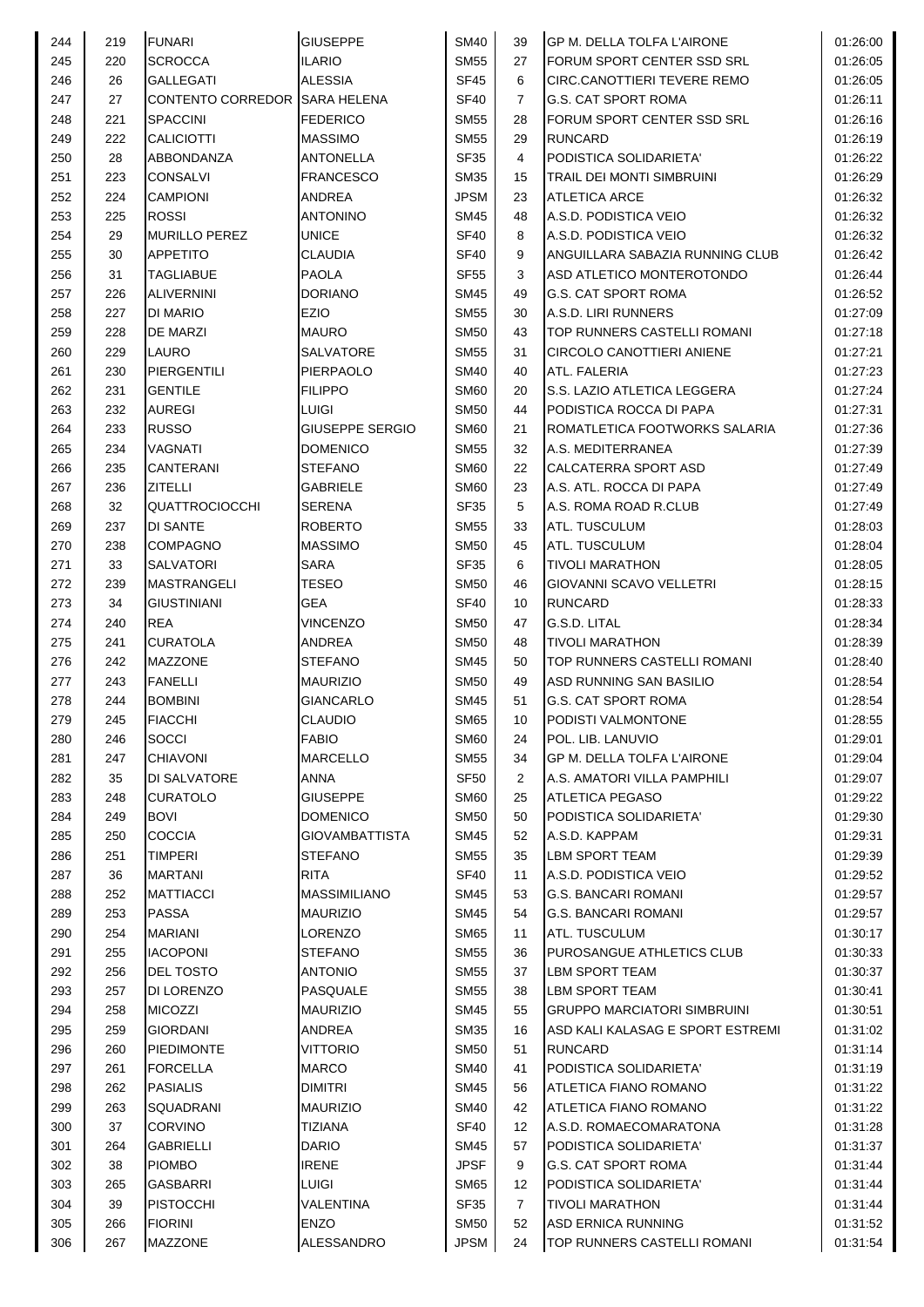| 244 | 219 | <b>FUNARI</b>                 | <b>GIUSEPPE</b>       | <b>SM40</b> | 39             | <b>IGP M. DELLA TOLFA L'AIRONE</b> | 01:26:00 |
|-----|-----|-------------------------------|-----------------------|-------------|----------------|------------------------------------|----------|
| 245 | 220 | <b>SCROCCA</b>                | <b>ILARIO</b>         | <b>SM55</b> | 27             | FORUM SPORT CENTER SSD SRL         | 01:26:05 |
| 246 | 26  | <b>GALLEGATI</b>              | <b>ALESSIA</b>        | <b>SF45</b> | 6              | ICIRC.CANOTTIERI TEVERE REMO       | 01:26:05 |
| 247 | 27  | CONTENTO CORREDOR SARA HELENA |                       | <b>SF40</b> | $\overline{7}$ | <b>G.S. CAT SPORT ROMA</b>         | 01:26:11 |
| 248 | 221 | <b>SPACCINI</b>               | <b>FEDERICO</b>       | <b>SM55</b> | 28             | FORUM SPORT CENTER SSD SRL         | 01:26:16 |
| 249 | 222 | <b>CALICIOTTI</b>             | <b>MASSIMO</b>        | <b>SM55</b> | 29             | <b>RUNCARD</b>                     | 01:26:19 |
| 250 | 28  | ABBONDANZA                    | ANTONELLA             | <b>SF35</b> | 4              | PODISTICA SOLIDARIETA'             | 01:26:22 |
|     |     |                               |                       |             |                |                                    |          |
| 251 | 223 | <b>CONSALVI</b>               | FRANCESCO             | SM35        | 15             | <b>TRAIL DEI MONTI SIMBRUINI</b>   | 01:26:29 |
| 252 | 224 | <b>CAMPIONI</b>               | ANDREA                | <b>JPSM</b> | 23             | <b>ATLETICA ARCE</b>               | 01:26:32 |
| 253 | 225 | <b>ROSSI</b>                  | ANTONINO              | <b>SM45</b> | 48             | A.S.D. PODISTICA VEIO              | 01:26:32 |
| 254 | 29  | <b>MURILLO PEREZ</b>          | UNICE                 | <b>SF40</b> | 8              | A.S.D. PODISTICA VEIO              | 01:26:32 |
| 255 | 30  | <b>APPETITO</b>               | CLAUDIA               | <b>SF40</b> | 9              | ANGUILLARA SABAZIA RUNNING CLUB    | 01:26:42 |
| 256 | 31  | <b>TAGLIABUE</b>              | PAOLA                 | <b>SF55</b> | 3              | ASD ATLETICO MONTEROTONDO          | 01:26:44 |
| 257 | 226 | <b>ALIVERNINI</b>             | DORIANO               | <b>SM45</b> | 49             | <b>G.S. CAT SPORT ROMA</b>         | 01:26:52 |
| 258 | 227 | DI MARIO                      | EZIO                  | <b>SM55</b> | 30             | A.S.D. LIRI RUNNERS                | 01:27:09 |
| 259 | 228 | DE MARZI                      | <b>MAURO</b>          | <b>SM50</b> | 43             | TOP RUNNERS CASTELLI ROMANI        | 01:27:18 |
| 260 | 229 | <b>LAURO</b>                  | SALVATORE             | <b>SM55</b> | 31             | CIRCOLO CANOTTIERI ANIENE          | 01:27:21 |
| 261 | 230 | <b>PIERGENTILI</b>            | PIERPAOLO             | <b>SM40</b> | 40             | ATL. FALERIA                       | 01:27:23 |
| 262 | 231 | <b>GENTILE</b>                | <b>FILIPPO</b>        | <b>SM60</b> | 20             | S.S. LAZIO ATLETICA LEGGERA        | 01:27:24 |
| 263 | 232 | <b>AUREGI</b>                 | LUIGI                 | <b>SM50</b> | 44             | PODISTICA ROCCA DI PAPA            | 01:27:31 |
| 264 | 233 | <b>RUSSO</b>                  | GIUSEPPE SERGIO       | <b>SM60</b> | 21             | ROMATLETICA FOOTWORKS SALARIA      | 01:27:36 |
| 265 | 234 | <b>VAGNATI</b>                | <b>DOMENICO</b>       | <b>SM55</b> | 32             | A.S. MEDITERRANEA                  | 01:27:39 |
| 266 | 235 | <b>CANTERANI</b>              | <b>STEFANO</b>        | <b>SM60</b> | 22             | <b>CALCATERRA SPORT ASD</b>        | 01:27:49 |
|     |     |                               |                       |             |                |                                    |          |
| 267 | 236 | <b>ZITELLI</b>                | GABRIELE              | <b>SM60</b> | 23             | A.S. ATL. ROCCA DI PAPA            | 01:27:49 |
| 268 | 32  | <b>QUATTROCIOCCHI</b>         | <b>SERENA</b>         | <b>SF35</b> | 5              | A.S. ROMA ROAD R.CLUB              | 01:27:49 |
| 269 | 237 | DI SANTE                      | <b>ROBERTO</b>        | <b>SM55</b> | 33             | <b>ATL. TUSCULUM</b>               | 01:28:03 |
| 270 | 238 | <b>COMPAGNO</b>               | <b>MASSIMO</b>        | <b>SM50</b> | 45             | <b>ATL. TUSCULUM</b>               | 01:28:04 |
| 271 | 33  | <b>SALVATORI</b>              | SARA                  | <b>SF35</b> | 6              | <b>TIVOLI MARATHON</b>             | 01:28:05 |
| 272 | 239 | <b>MASTRANGELI</b>            | <b>TESEO</b>          | <b>SM50</b> | 46             | GIOVANNI SCAVO VELLETRI            | 01:28:15 |
| 273 | 34  | <b>GIUSTINIANI</b>            | GEA                   | <b>SF40</b> | 10             | <b>RUNCARD</b>                     | 01:28:33 |
| 274 | 240 | <b>REA</b>                    | <b>VINCENZO</b>       | <b>SM50</b> | 47             | G.S.D. LITAL                       | 01:28:34 |
| 275 | 241 | <b>CURATOLA</b>               | <b>ANDREA</b>         | <b>SM50</b> | 48             | <b>TIVOLI MARATHON</b>             | 01:28:39 |
| 276 | 242 | <b>MAZZONE</b>                | <b>STEFANO</b>        | <b>SM45</b> | 50             | TOP RUNNERS CASTELLI ROMANI        | 01:28:40 |
| 277 | 243 | <b>FANELLI</b>                | <b>MAURIZIO</b>       | <b>SM50</b> | 49             | ASD RUNNING SAN BASILIO            | 01:28:54 |
| 278 | 244 | <b>BOMBINI</b>                | <b>GIANCARLO</b>      | <b>SM45</b> | 51             | <b>G.S. CAT SPORT ROMA</b>         | 01:28:54 |
| 279 | 245 | <b>FIACCHI</b>                | <b>CLAUDIO</b>        | <b>SM65</b> | 10             | PODISTI VALMONTONE                 | 01:28:55 |
| 280 | 246 | <b>SOCCI</b>                  | FABIO                 | <b>SM60</b> | 24             | POL. LIB. LANUVIO                  | 01:29:01 |
| 281 | 247 | <b>CHIAVONI</b>               | <b>MARCELLO</b>       | <b>SM55</b> | 34             | GP M. DELLA TOLFA L'AIRONE         | 01:29:04 |
| 282 | 35  | DI SALVATORE                  | <b>ANNA</b>           | <b>SF50</b> | 2              | A.S. AMATORI VILLA PAMPHILI        | 01:29:07 |
|     |     |                               |                       |             |                |                                    |          |
| 283 | 248 | <b>CURATOLO</b>               | <b>GIUSEPPE</b>       | <b>SM60</b> | 25             | <b>ATLETICA PEGASO</b>             | 01:29:22 |
| 284 | 249 | <b>BOVI</b>                   | DOMENICO              | <b>SM50</b> | 50             | PODISTICA SOLIDARIETA'             | 01:29:30 |
| 285 | 250 | <b>COCCIA</b>                 | <b>GIOVAMBATTISTA</b> | <b>SM45</b> | 52             | A.S.D. KAPPAM                      | 01:29:31 |
| 286 | 251 | <b>TIMPERI</b>                | STEFANO               | <b>SM55</b> | 35             | <b>LBM SPORT TEAM</b>              | 01:29:39 |
| 287 | 36  | <b>MARTANI</b>                | RITA                  | <b>SF40</b> | 11             | A.S.D. PODISTICA VEIO              | 01:29:52 |
| 288 | 252 | <b>MATTIACCI</b>              | <b>MASSIMILIANO</b>   | <b>SM45</b> | 53             | <b>G.S. BANCARI ROMANI</b>         | 01:29:57 |
| 289 | 253 | <b>PASSA</b>                  | <b>MAURIZIO</b>       | <b>SM45</b> | 54             | <b>G.S. BANCARI ROMANI</b>         | 01:29:57 |
| 290 | 254 | <b>MARIANI</b>                | LORENZO               | <b>SM65</b> | 11             | ATL. TUSCULUM                      | 01:30:17 |
| 291 | 255 | <b>IACOPONI</b>               | STEFANO               | <b>SM55</b> | 36             | PUROSANGUE ATHLETICS CLUB          | 01:30:33 |
| 292 | 256 | <b>DEL TOSTO</b>              | ANTONIO               | <b>SM55</b> | 37             | LBM SPORT TEAM                     | 01:30:37 |
| 293 | 257 | DI LORENZO                    | PASQUALE              | <b>SM55</b> | 38             | <b>LBM SPORT TEAM</b>              | 01:30:41 |
| 294 | 258 | <b>MICOZZI</b>                | <b>MAURIZIO</b>       | <b>SM45</b> | 55             | <b>GRUPPO MARCIATORI SIMBRUINI</b> | 01:30:51 |
| 295 | 259 | <b>GIORDANI</b>               | ANDREA                | <b>SM35</b> | 16             | ASD KALI KALASAG E SPORT ESTREMI   | 01:31:02 |
| 296 | 260 | <b>PIEDIMONTE</b>             | VITTORIO              | <b>SM50</b> | 51             | <b>RUNCARD</b>                     | 01:31:14 |
| 297 | 261 | <b>FORCELLA</b>               | <b>MARCO</b>          | <b>SM40</b> | 41             | PODISTICA SOLIDARIETA'             | 01:31:19 |
| 298 | 262 | <b>PASIALIS</b>               | DIMITRI               | <b>SM45</b> |                | ATLETICA FIANO ROMANO              | 01:31:22 |
|     |     |                               |                       |             | 56             |                                    |          |
| 299 | 263 | SQUADRANI                     | <b>MAURIZIO</b>       | SM40        | 42             | ATLETICA FIANO ROMANO              | 01:31:22 |
| 300 | 37  | <b>CORVINO</b>                | TIZIANA               | <b>SF40</b> | 12             | A.S.D. ROMAECOMARATONA             | 01:31:28 |
| 301 | 264 | <b>GABRIELLI</b>              | <b>DARIO</b>          | <b>SM45</b> | 57             | PODISTICA SOLIDARIETA'             | 01:31:37 |
| 302 | 38  | <b>PIOMBO</b>                 | <b>IRENE</b>          | <b>JPSF</b> | 9              | <b>G.S. CAT SPORT ROMA</b>         | 01:31:44 |
| 303 | 265 | <b>GASBARRI</b>               | <b>LUIGI</b>          | <b>SM65</b> | 12             | PODISTICA SOLIDARIETA'             | 01:31:44 |
| 304 | 39  | <b>PISTOCCHI</b>              | VALENTINA             | <b>SF35</b> | $\overline{7}$ | <b>TIVOLI MARATHON</b>             | 01:31:44 |
| 305 | 266 | <b>FIORINI</b>                | ENZO                  | <b>SM50</b> | 52             | ASD ERNICA RUNNING                 | 01:31:52 |
| 306 | 267 | MAZZONE                       | ALESSANDRO            | <b>JPSM</b> | 24             | TOP RUNNERS CASTELLI ROMANI        | 01:31:54 |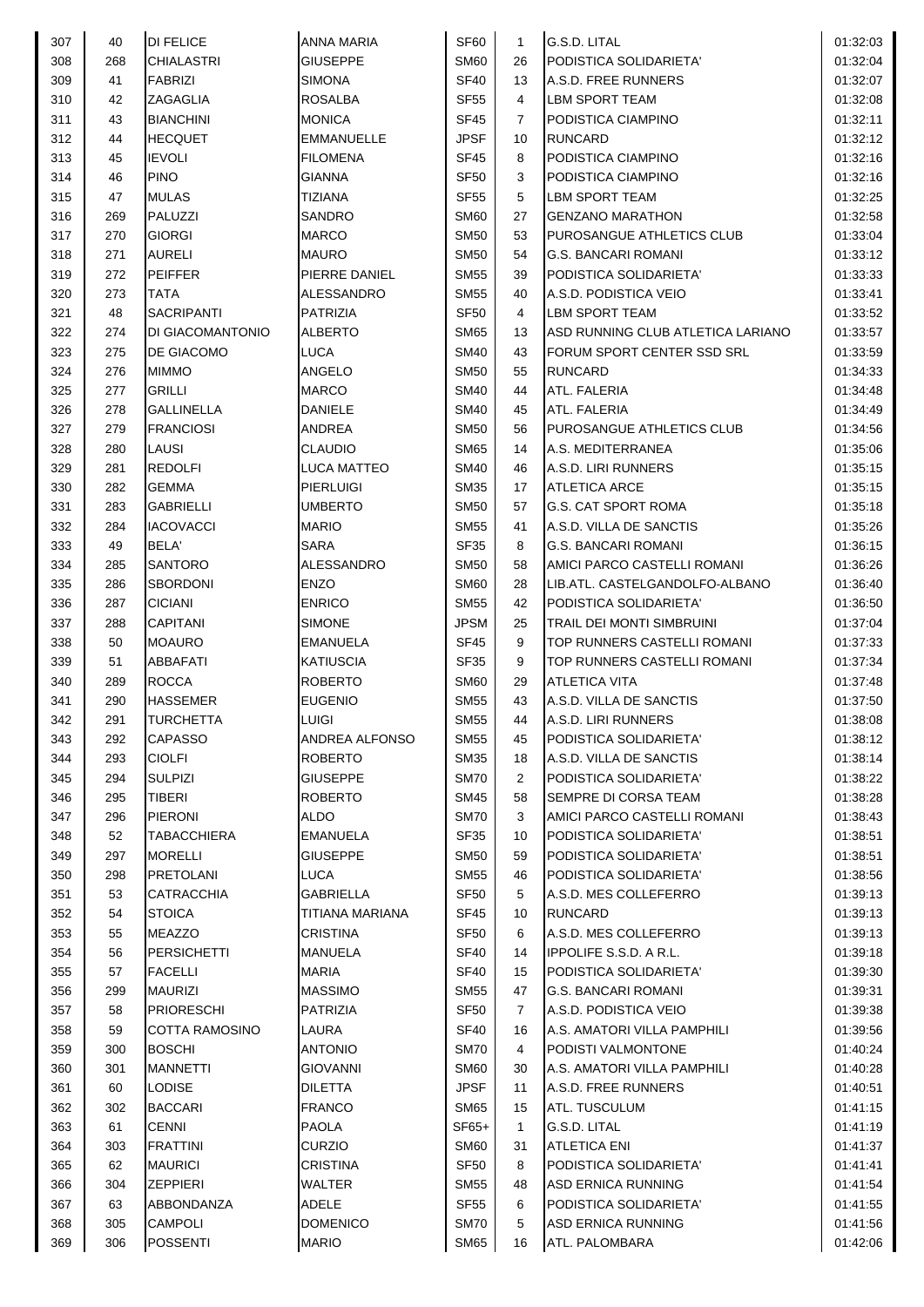| 307 | 40  | <b>DI FELICE</b>      | <b>ANNA MARIA</b>     | SF60        | $\mathbf{1}$   | G.S.D. LITAL                      | 01:32:03 |
|-----|-----|-----------------------|-----------------------|-------------|----------------|-----------------------------------|----------|
| 308 | 268 | <b>CHIALASTRI</b>     | <b>GIUSEPPE</b>       | <b>SM60</b> | 26             | PODISTICA SOLIDARIETA'            | 01:32:04 |
| 309 | 41  | <b>FABRIZI</b>        | <b>SIMONA</b>         | <b>SF40</b> | 13             | A.S.D. FREE RUNNERS               | 01:32:07 |
| 310 | 42  | <b>ZAGAGLIA</b>       | <b>ROSALBA</b>        | <b>SF55</b> | 4              | LBM SPORT TEAM                    | 01:32:08 |
| 311 | 43  | <b>BIANCHINI</b>      | <b>MONICA</b>         | <b>SF45</b> | 7              | PODISTICA CIAMPINO                | 01:32:11 |
| 312 | 44  | <b>HECQUET</b>        | <b>EMMANUELLE</b>     | <b>JPSF</b> | 10             | <b>RUNCARD</b>                    | 01:32:12 |
| 313 |     | <b>IEVOLI</b>         | <b>FILOMENA</b>       | SF45        |                | PODISTICA CIAMPINO                | 01:32:16 |
|     | 45  |                       |                       |             | 8              |                                   |          |
| 314 | 46  | <b>PINO</b>           | <b>GIANNA</b>         | <b>SF50</b> | 3              | PODISTICA CIAMPINO                | 01:32:16 |
| 315 | 47  | <b>MULAS</b>          | <b>TIZIANA</b>        | <b>SF55</b> | 5              | LBM SPORT TEAM                    | 01:32:25 |
| 316 | 269 | PALUZZI               | <b>SANDRO</b>         | <b>SM60</b> | 27             | <b>GENZANO MARATHON</b>           | 01:32:58 |
| 317 | 270 | <b>GIORGI</b>         | <b>MARCO</b>          | <b>SM50</b> | 53             | <b>PUROSANGUE ATHLETICS CLUB</b>  | 01:33:04 |
| 318 | 271 | <b>AURELI</b>         | <b>MAURO</b>          | <b>SM50</b> | 54             | <b>G.S. BANCARI ROMANI</b>        | 01:33:12 |
| 319 | 272 | <b>PEIFFER</b>        | PIERRE DANIEL         | <b>SM55</b> | 39             | PODISTICA SOLIDARIETA'            | 01:33:33 |
| 320 | 273 | <b>TATA</b>           | <b>ALESSANDRO</b>     | <b>SM55</b> | 40             | A.S.D. PODISTICA VEIO             | 01:33:41 |
| 321 | 48  | <b>SACRIPANTI</b>     | <b>PATRIZIA</b>       | <b>SF50</b> | 4              | LBM SPORT TEAM                    | 01:33:52 |
| 322 | 274 | DI GIACOMANTONIO      | <b>ALBERTO</b>        | <b>SM65</b> | 13             | ASD RUNNING CLUB ATLETICA LARIANO | 01:33:57 |
| 323 | 275 | DE GIACOMO            | <b>LUCA</b>           | <b>SM40</b> | 43             | FORUM SPORT CENTER SSD SRL        | 01:33:59 |
| 324 | 276 | <b>MIMMO</b>          | <b>ANGELO</b>         | <b>SM50</b> | 55             | <b>RUNCARD</b>                    | 01:34:33 |
| 325 | 277 | <b>GRILLI</b>         | <b>MARCO</b>          | <b>SM40</b> | 44             | ATL. FALERIA                      | 01:34:48 |
| 326 | 278 | <b>GALLINELLA</b>     | <b>DANIELE</b>        | <b>SM40</b> | 45             | ATL. FALERIA                      | 01:34:49 |
| 327 | 279 | <b>FRANCIOSI</b>      | <b>ANDREA</b>         | <b>SM50</b> | 56             | <b>PUROSANGUE ATHLETICS CLUB</b>  | 01:34:56 |
| 328 | 280 | LAUSI                 | <b>CLAUDIO</b>        | <b>SM65</b> | 14             | A.S. MEDITERRANEA                 | 01:35:06 |
|     |     |                       |                       |             |                |                                   |          |
| 329 | 281 | <b>REDOLFI</b>        | <b>LUCA MATTEO</b>    | <b>SM40</b> | 46             | A.S.D. LIRI RUNNERS               | 01:35:15 |
| 330 | 282 | <b>GEMMA</b>          | <b>PIERLUIGI</b>      | <b>SM35</b> | 17             | <b>ATLETICA ARCE</b>              | 01:35:15 |
| 331 | 283 | <b>GABRIELLI</b>      | <b>UMBERTO</b>        | <b>SM50</b> | 57             | G.S. CAT SPORT ROMA               | 01:35:18 |
| 332 | 284 | <b>IACOVACCI</b>      | <b>MARIO</b>          | <b>SM55</b> | 41             | A.S.D. VILLA DE SANCTIS           | 01:35:26 |
| 333 | 49  | BELA'                 | <b>SARA</b>           | <b>SF35</b> | 8              | <b>G.S. BANCARI ROMANI</b>        | 01:36:15 |
| 334 | 285 | <b>SANTORO</b>        | <b>ALESSANDRO</b>     | <b>SM50</b> | 58             | AMICI PARCO CASTELLI ROMANI       | 01:36:26 |
| 335 | 286 | <b>SBORDONI</b>       | <b>ENZO</b>           | <b>SM60</b> | 28             | LIB.ATL. CASTELGANDOLFO-ALBANO    | 01:36:40 |
| 336 | 287 | <b>CICIANI</b>        | <b>ENRICO</b>         | <b>SM55</b> | 42             | PODISTICA SOLIDARIETA'            | 01:36:50 |
| 337 | 288 | <b>CAPITANI</b>       | <b>SIMONE</b>         | <b>JPSM</b> | 25             | TRAIL DEI MONTI SIMBRUINI         | 01:37:04 |
| 338 | 50  | <b>MOAURO</b>         | <b>EMANUELA</b>       | <b>SF45</b> | 9              | TOP RUNNERS CASTELLI ROMANI       | 01:37:33 |
| 339 | 51  | <b>ABBAFATI</b>       | <b>KATIUSCIA</b>      | <b>SF35</b> | 9              | TOP RUNNERS CASTELLI ROMANI       | 01:37:34 |
| 340 | 289 | <b>ROCCA</b>          | <b>ROBERTO</b>        | <b>SM60</b> | 29             | <b>ATLETICA VITA</b>              | 01:37:48 |
| 341 | 290 | <b>HASSEMER</b>       | <b>EUGENIO</b>        | <b>SM55</b> | 43             | A.S.D. VILLA DE SANCTIS           | 01:37:50 |
| 342 | 291 | <b>TURCHETTA</b>      | <b>LUIGI</b>          | <b>SM55</b> | 44             | A.S.D. LIRI RUNNERS               | 01:38:08 |
| 343 | 292 | <b>CAPASSO</b>        | <b>ANDREA ALFONSO</b> | <b>SM55</b> | 45             | PODISTICA SOLIDARIETA'            | 01:38:12 |
| 344 | 293 | <b>CIOLFI</b>         | <b>ROBERTO</b>        | <b>SM35</b> | 18             | A.S.D. VILLA DE SANCTIS           | 01:38:14 |
| 345 | 294 | <b>SULPIZI</b>        | <b>GIUSEPPE</b>       | <b>SM70</b> | $\overline{2}$ | PODISTICA SOLIDARIETA'            | 01:38:22 |
|     |     |                       |                       |             |                |                                   |          |
| 346 | 295 | <b>TIBERI</b>         | <b>ROBERTO</b>        | SM45        | 58             | <b>SEMPRE DI CORSA TEAM</b>       | 01:38:28 |
| 347 | 296 | <b>PIERONI</b>        | <b>ALDO</b>           | <b>SM70</b> | 3              | AMICI PARCO CASTELLI ROMANI       | 01:38:43 |
| 348 | 52  | <b>TABACCHIERA</b>    | <b>EMANUELA</b>       | <b>SF35</b> | 10             | PODISTICA SOLIDARIETA'            | 01:38:51 |
| 349 | 297 | <b>MORELLI</b>        | <b>GIUSEPPE</b>       | <b>SM50</b> | 59             | PODISTICA SOLIDARIETA'            | 01:38:51 |
| 350 | 298 | <b>PRETOLANI</b>      | <b>LUCA</b>           | SM55        | 46             | PODISTICA SOLIDARIETA'            | 01:38:56 |
| 351 | 53  | <b>CATRACCHIA</b>     | <b>GABRIELLA</b>      | <b>SF50</b> | 5              | A.S.D. MES COLLEFERRO             | 01:39:13 |
| 352 | 54  | <b>STOICA</b>         | TITIANA MARIANA       | <b>SF45</b> | 10             | <b>RUNCARD</b>                    | 01:39:13 |
| 353 | 55  | <b>MEAZZO</b>         | <b>CRISTINA</b>       | <b>SF50</b> | 6              | A.S.D. MES COLLEFERRO             | 01:39:13 |
| 354 | 56  | PERSICHETTI           | <b>MANUELA</b>        | <b>SF40</b> | 14             | <b>IPPOLIFE S.S.D. A R.L.</b>     | 01:39:18 |
| 355 | 57  | <b>FACELLI</b>        | <b>MARIA</b>          | <b>SF40</b> | 15             | PODISTICA SOLIDARIETA'            | 01:39:30 |
| 356 | 299 | <b>MAURIZI</b>        | <b>MASSIMO</b>        | SM55        | 47             | <b>G.S. BANCARI ROMANI</b>        | 01:39:31 |
| 357 | 58  | <b>PRIORESCHI</b>     | <b>PATRIZIA</b>       | <b>SF50</b> | 7              | A.S.D. PODISTICA VEIO             | 01:39:38 |
| 358 | 59  | <b>COTTA RAMOSINO</b> | <b>LAURA</b>          | <b>SF40</b> | 16             | A.S. AMATORI VILLA PAMPHILI       | 01:39:56 |
| 359 | 300 | <b>BOSCHI</b>         | <b>ANTONIO</b>        | <b>SM70</b> | 4              | PODISTI VALMONTONE                | 01:40:24 |
| 360 | 301 | <b>MANNETTI</b>       | <b>GIOVANNI</b>       | <b>SM60</b> | 30             | A.S. AMATORI VILLA PAMPHILI       | 01:40:28 |
| 361 | 60  | <b>LODISE</b>         | <b>DILETTA</b>        | <b>JPSF</b> | 11             | A.S.D. FREE RUNNERS               | 01:40:51 |
|     |     |                       |                       |             |                |                                   |          |
| 362 | 302 | <b>BACCARI</b>        | <b>FRANCO</b>         | <b>SM65</b> | 15             | <b>ATL. TUSCULUM</b>              | 01:41:15 |
| 363 | 61  | <b>CENNI</b>          | <b>PAOLA</b>          | $SF65+$     | $\mathbf{1}$   | G.S.D. LITAL                      | 01:41:19 |
| 364 | 303 | <b>FRATTINI</b>       | <b>CURZIO</b>         | <b>SM60</b> | 31             | <b>ATLETICA ENI</b>               | 01:41:37 |
| 365 | 62  | <b>MAURICI</b>        | <b>CRISTINA</b>       | <b>SF50</b> | 8              | PODISTICA SOLIDARIETA'            | 01:41:41 |
| 366 | 304 | <b>ZEPPIERI</b>       | <b>WALTER</b>         | <b>SM55</b> | 48             | <b>ASD ERNICA RUNNING</b>         | 01:41:54 |
| 367 | 63  | ABBONDANZA            | <b>ADELE</b>          | <b>SF55</b> | 6              | PODISTICA SOLIDARIETA'            | 01:41:55 |
| 368 | 305 | <b>CAMPOLI</b>        | <b>DOMENICO</b>       | <b>SM70</b> | 5              | ASD ERNICA RUNNING                | 01:41:56 |
| 369 | 306 | <b>POSSENTI</b>       | <b>MARIO</b>          | <b>SM65</b> | 16             | ATL. PALOMBARA                    | 01:42:06 |